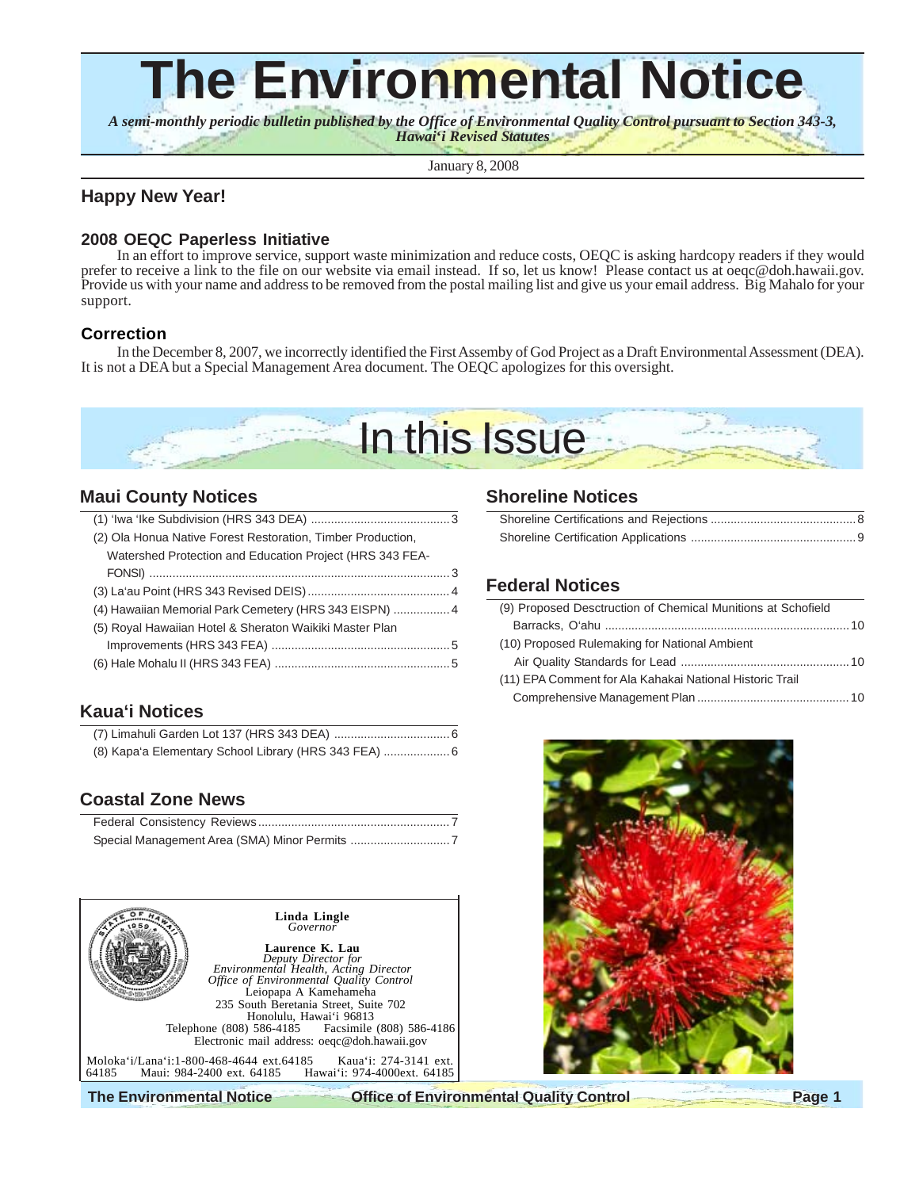# **The Environmental Notice**

*A semi-monthly periodic bulletin published by the Office of Environmental Quality Control pursuant to Section 343-3, Hawai***'***i Revised Statutes* sun filmu  $\mathcal{M} = \frac{1}{2} \frac{1}{2} \frac{1}{2} \frac{1}{2} \frac{1}{2} \frac{1}{2} \frac{1}{2} \frac{1}{2} \frac{1}{2} \frac{1}{2} \frac{1}{2} \frac{1}{2} \frac{1}{2} \frac{1}{2} \frac{1}{2} \frac{1}{2} \frac{1}{2} \frac{1}{2} \frac{1}{2} \frac{1}{2} \frac{1}{2} \frac{1}{2} \frac{1}{2} \frac{1}{2} \frac{1}{2} \frac{1}{2} \frac{1}{2} \frac{1}{2} \frac{1}{2} \frac{1}{2} \frac{$ 

January 8, 2008

## **Happy New Year!**

## **2008 OEQC Paperless Initiative**

In an effort to improve service, support waste minimization and reduce costs, OEQC is asking hardcopy readers if they would prefer to receive a link to the file on our website via email instead. If so, let us know! Please contact us at oeqc@doh.hawaii.gov. Provide us with your name and address to be removed from the postal mailing list and give us your email address. Big Mahalo for your support.

## **Correction**

In the December 8, 2007, we incorrectly identified the First Assemby of God Project as a Draft Environmental Assessment (DEA). It is not a DEA but a Special Management Area document. The OEQC apologizes for this oversight.



## **Maui County Notices**

| (2) Ola Honua Native Forest Restoration, Timber Production, |  |
|-------------------------------------------------------------|--|
| Watershed Protection and Education Project (HRS 343 FEA-    |  |
|                                                             |  |
|                                                             |  |
| (4) Hawaiian Memorial Park Cemetery (HRS 343 EISPN)  4      |  |
| (5) Royal Hawaiian Hotel & Sheraton Waikiki Master Plan     |  |
|                                                             |  |
|                                                             |  |

# **Kaua'i Notices**

| (8) Kapa'a Elementary School Library (HRS 343 FEA)  6 |  |
|-------------------------------------------------------|--|

# **Coastal Zone News**



**The Environmental Notice Office of Environmental Quality Control Page 1**

## **Shoreline Notices**

## **Federal Notices**

| (9) Proposed Desctruction of Chemical Munitions at Schofield |
|--------------------------------------------------------------|
|                                                              |
| (10) Proposed Rulemaking for National Ambient                |
|                                                              |
| (11) EPA Comment for Ala Kahakai National Historic Trail     |
|                                                              |

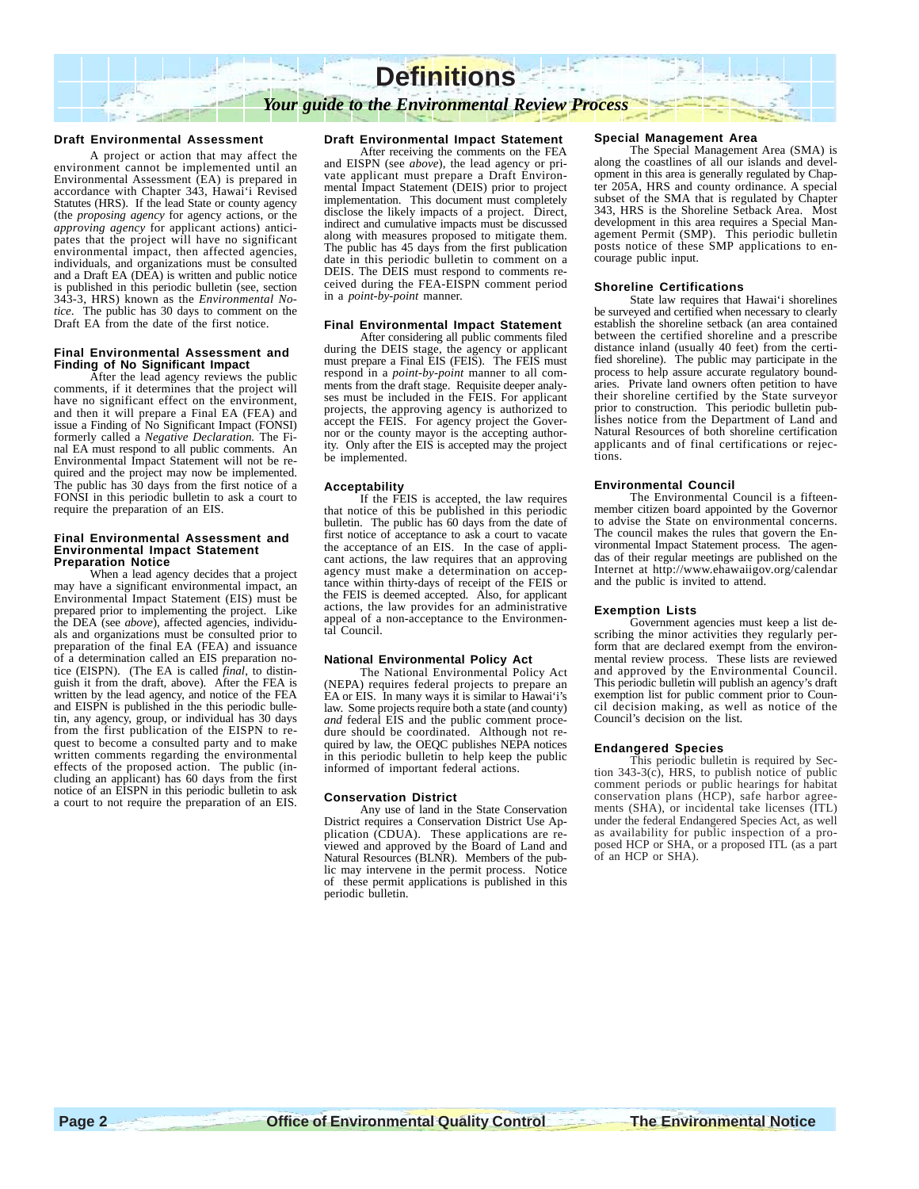

### **Draft Environmental Assessment**

A project or action that may affect the environment cannot be implemented until an Environmental Assessment (EA) is prepared in accordance with Chapter 343, Hawai'i Revised Statutes (HRS). If the lead State or county agency (the *proposing agency* for agency actions, or the *approving agency* for applicant actions) antici-pates that the project will have no significant environmental impact, then affected agencies, individuals, and organizations must be consulted and a Draft EA (DEA) is written and public notice is published in this periodic bulletin (see, section 343-3, HRS) known as the *Environmental Notice*. The public has 30 days to comment on the Draft EA from the date of the first notice.

### **Final Environmental Assessment and Finding of No Significant Impact**

After the lead agency reviews the public comments, if it determines that the project will have no significant effect on the environment, and then it will prepare a Final EA (FEA) and issue a Finding of No Significant Impact (FONSI) formerly called a *Negative Declaration.* The Final EA must respond to all public comments. An Environmental Impact Statement will not be required and the project may now be implemented. The public has 30 days from the first notice of a FONSI in this periodic bulletin to ask a court to require the preparation of an EIS.

#### **Final Environmental Assessment and Environmental Impact Statement Preparation Notice**

When a lead agency decides that a project may have a significant environmental impact, an Environmental Impact Statement (EIS) must be prepared prior to implementing the project. Like the DEA (see *above*), affected agencies, individuals and organizations must be consulted prior to preparation of the final EA (FEA) and issuance of a determination called an EIS preparation notice (EISPN). (The EA is called *final*, to distinguish it from the draft, above). After the FEA is written by the lead agency, and notice of the FEA and EISPN is published in the this periodic bulletin, any agency, group, or individual has 30 days from the first publication of the EISPN to request to become a consulted party and to make written comments regarding the environmental effects of the proposed action. The public (including an applicant) has 60 days from the first notice of an EISPN in this periodic bulletin to ask a court to not require the preparation of an EIS.

### **Draft Environmental Impact Statement**

After receiving the comments on the FEA and EISPN (see *above*), the lead agency or private applicant must prepare a Draft Environ-mental Impact Statement (DEIS) prior to project implementation. This document must completely disclose the likely impacts of a project. Direct, indirect and cumulative impacts must be discussed along with measures proposed to mitigate them. The public has 45 days from the first publication date in this periodic bulletin to comment on a DEIS. The DEIS must respond to comments received during the FEA-EISPN comment period in a *point-by-point* manner.

### **Final Environmental Impact Statement**

After considering all public comments filed during the DEIS stage, the agency or applicant must prepare a Final EIS (FEIS). The FEIS must respond in a *point-by-point* manner to all comments from the draft stage. Requisite deeper analyses must be included in the FEIS. For applicant projects, the approving agency is authorized to accept the FEIS. For agency project the Governor or the county mayor is the accepting authority. Only after the EIS is accepted may the project be implemented.

### **Acceptability**

If the FEIS is accepted, the law requires that notice of this be published in this periodic bulletin. The public has 60 days from the date of first notice of acceptance to ask a court to vacate the acceptance of an EIS. In the case of applicant actions, the law requires that an approving agency must make a determination on acceptance within thirty-days of receipt of the FEIS or the FEIS is deemed accepted. Also, for applicant actions, the law provides for an administrative appeal of a non-acceptance to the Environmental Council.

### **National Environmental Policy Act**

The National Environmental Policy Act (NEPA) requires federal projects to prepare an EA or EIS. In many ways it is similar to Hawai'i's law. Some projects require both a state (and county) *and* federal EIS and the public comment procedure should be coordinated. Although not required by law, the OEQC publishes NEPA notices in this periodic bulletin to help keep the public informed of important federal actions.

### **Conservation District**

Any use of land in the State Conservation District requires a Conservation District Use Application (CDUA). These applications are reviewed and approved by the Board of Land and Natural Resources (BLNR). Members of the public may intervene in the permit process. Notice of these permit applications is published in this periodic bulletin.

### **Special Management Area**

The Special Management Area (SMA) is along the coastlines of all our islands and development in this area is generally regulated by Chapter 205A, HRS and county ordinance. A special subset of the SMA that is regulated by Chapter 343, HRS is the Shoreline Setback Area. Most development in this area requires a Special Management Permit (SMP). This periodic bulletin posts notice of these SMP applications to encourage public input.

#### **Shoreline Certifications**

State law requires that Hawai'i shorelines be surveyed and certified when necessary to clearly establish the shoreline setback (an area contained between the certified shoreline and a prescribe distance inland (usually 40 feet) from the certified shoreline). The public may participate in the process to help assure accurate regulatory boundaries. Private land owners often petition to have their shoreline certified by the State surveyor prior to construction. This periodic bulletin publishes notice from the Department of Land and Natural Resources of both shoreline certification applicants and of final certifications or rejections.

#### **Environmental Council**

The Environmental Council is a fifteenmember citizen board appointed by the Governor to advise the State on environmental concerns. The council makes the rules that govern the Environmental Impact Statement process. The agendas of their regular meetings are published on the Internet at http://www.ehawaiigov.org/calendar and the public is invited to attend.

### **Exemption Lists**

Government agencies must keep a list describing the minor activities they regularly perform that are declared exempt from the environmental review process. These lists are reviewed and approved by the Environmental Council. This periodic bulletin will publish an agency's draft exemption list for public comment prior to Council decision making, as well as notice of the Council's decision on the list.

### **Endangered Species**

This periodic bulletin is required by Section  $343-3(c)$ , HRS, to publish notice of public comment periods or public hearings for habitat conservation plans (HCP), safe harbor agreements (SHA), or incidental take licenses (ITL) under the federal Endangered Species Act, as well as availability for public inspection of a proposed HCP or SHA, or a proposed ITL (as a part of an HCP or SHA).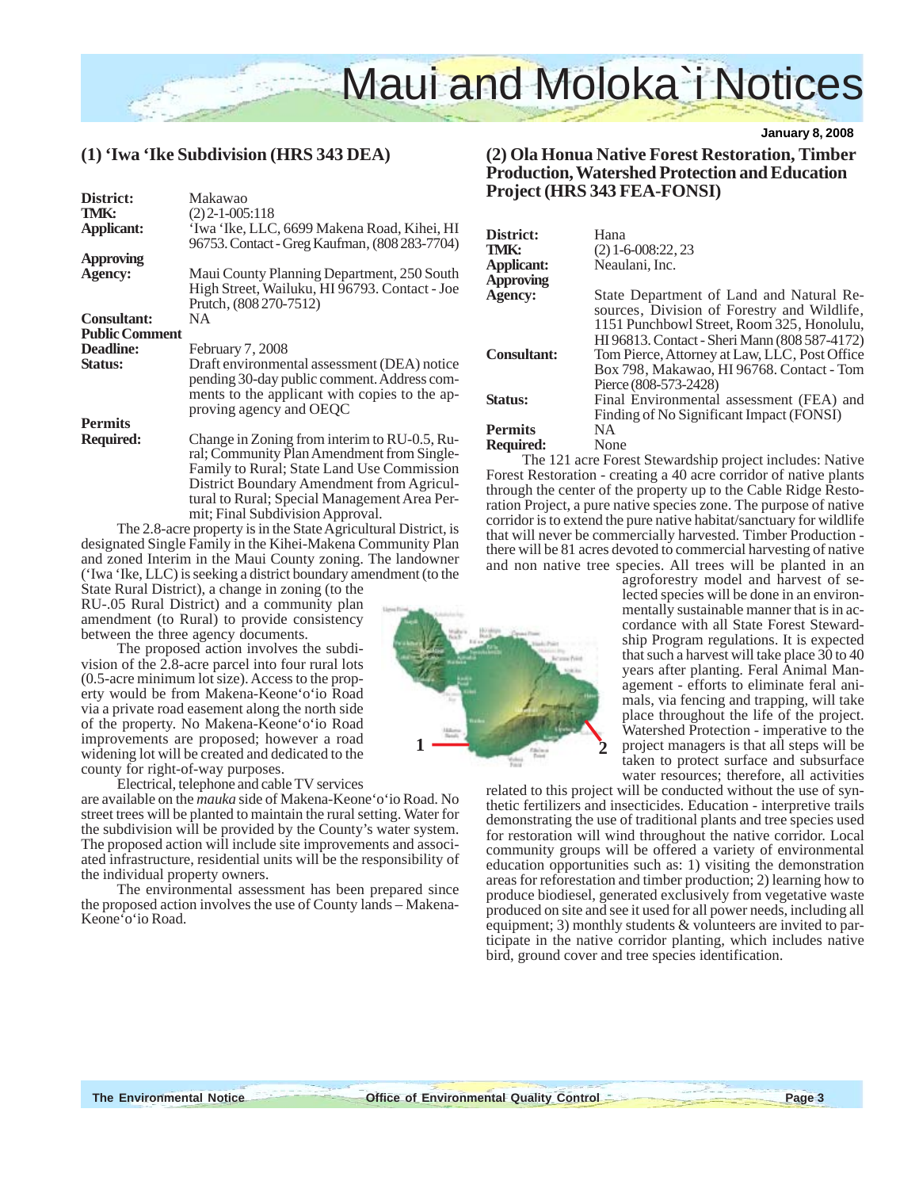

## **(1) 'Iwa 'Ike Subdivision (HRS 343 DEA)**

| District:             | Makawao                                                                                                                                                                               |
|-----------------------|---------------------------------------------------------------------------------------------------------------------------------------------------------------------------------------|
| TMK:                  | $(2)$ 2-1-005:118                                                                                                                                                                     |
| <b>Applicant:</b>     | 'Iwa 'Ike, LLC, 6699 Makena Road, Kihei, HI<br>96753. Contact - Greg Kaufman, (808 283-7704)                                                                                          |
| <b>Approving</b>      |                                                                                                                                                                                       |
| Agency:               | Maui County Planning Department, 250 South<br>High Street, Wailuku, HI 96793. Contact - Joe<br>Prutch, (808 270-7512)                                                                 |
| <b>Consultant:</b>    | NA.                                                                                                                                                                                   |
| <b>Public Comment</b> |                                                                                                                                                                                       |
| <b>Deadline:</b>      | February 7, 2008                                                                                                                                                                      |
| Status:               | Draft environmental assessment (DEA) notice<br>pending 30-day public comment. Address com-<br>ments to the applicant with copies to the ap-<br>proving agency and OEQC                |
| <b>Permits</b>        |                                                                                                                                                                                       |
| <b>Required:</b>      | Change in Zoning from interim to RU-0.5, Ru-<br>ral; Community Plan Amendment from Single-<br>Family to Rural; State Land Use Commission<br>District Boundary Amendment from Agricul- |

tural to Rural; Special Management Area Permit; Final Subdivision Approval.

The 2.8-acre property is in the State Agricultural District, is designated Single Family in the Kihei-Makena Community Plan and zoned Interim in the Maui County zoning. The landowner ('Iwa 'Ike, LLC) is seeking a district boundary amendment (to the

State Rural District), a change in zoning (to the RU-.05 Rural District) and a community plan amendment (to Rural) to provide consistency between the three agency documents.

The proposed action involves the subdivision of the 2.8-acre parcel into four rural lots (0.5-acre minimum lot size). Access to the property would be from Makena-Keone'o'io Road via a private road easement along the north side of the property. No Makena-Keone'o'io Road improvements are proposed; however a road widening lot will be created and dedicated to the county for right-of-way purposes.

Electrical, telephone and cable TV services

are available on the *mauka* side of Makena-Keone'o'io Road. No street trees will be planted to maintain the rural setting. Water for the subdivision will be provided by the County's water system. The proposed action will include site improvements and associated infrastructure, residential units will be the responsibility of the individual property owners.

The environmental assessment has been prepared since the proposed action involves the use of County lands – Makena-Keone'o'io Road.

## **(2) Ola Honua Native Forest Restoration, Timber Production, Watershed Protection and Education Project (HRS 343 FEA-FONSI)**

| <b>District:</b>   | Hana                                                                                                                                  |
|--------------------|---------------------------------------------------------------------------------------------------------------------------------------|
| TMK:               | $(2)$ 1-6-008:22, 23                                                                                                                  |
| Applicant:         | Neaulani, Inc.                                                                                                                        |
| Approving          |                                                                                                                                       |
| <b>Agency:</b>     | State Department of Land and Natural Re-<br>sources, Division of Forestry and Wildlife,<br>1151 Punchbowl Street, Room 325, Honolulu, |
|                    | HI 96813. Contact - Sheri Mann (808 587-4172)                                                                                         |
| <b>Consultant:</b> | Tom Pierce, Attorney at Law, LLC, Post Office                                                                                         |
|                    | Box 798, Makawao, HI 96768. Contact - Tom<br>Pierce (808-573-2428)                                                                    |
| Status:            | Final Environmental assessment (FEA) and                                                                                              |
|                    | Finding of No Significant Impact (FONSI)                                                                                              |
| Permits            | NA.                                                                                                                                   |
| <b>Required:</b>   | None                                                                                                                                  |
|                    | The 121 acre Forest Stewardship project includes: Native                                                                              |

Forest Restoration - creating a 40 acre corridor of native plants through the center of the property up to the Cable Ridge Restoration Project, a pure native species zone. The purpose of native corridor is to extend the pure native habitat/sanctuary for wildlife that will never be commercially harvested. Timber Production there will be 81 acres devoted to commercial harvesting of native and non native tree species. All trees will be planted in an

agroforestry model and harvest of selected species will be done in an environmentally sustainable manner that is in accordance with all State Forest Stewardship Program regulations. It is expected that such a harvest will take place 30 to 40 years after planting. Feral Animal Management - efforts to eliminate feral animals, via fencing and trapping, will take place throughout the life of the project. Watershed Protection - imperative to the project managers is that all steps will be taken to protect surface and subsurface water resources; therefore, all activities

related to this project will be conducted without the use of synthetic fertilizers and insecticides. Education - interpretive trails demonstrating the use of traditional plants and tree species used for restoration will wind throughout the native corridor. Local community groups will be offered a variety of environmental education opportunities such as: 1) visiting the demonstration areas for reforestation and timber production; 2) learning how to produce biodiesel, generated exclusively from vegetative waste produced on site and see it used for all power needs, including all equipment; 3) monthly students & volunteers are invited to participate in the native corridor planting, which includes native bird, ground cover and tree species identification.



**1** 2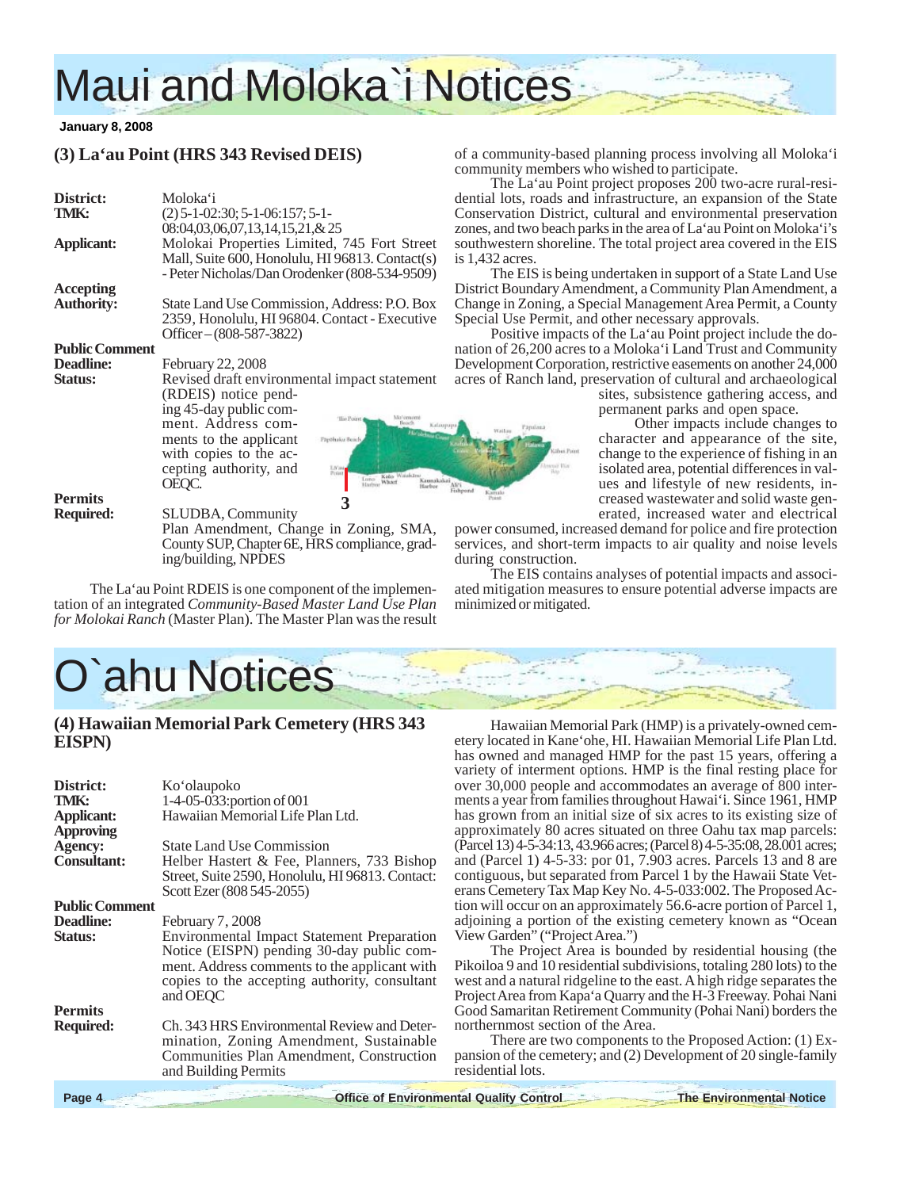# Maui and Moloka`i Notices

### **January 8, 2008**

# **(3) La'au Point (HRS 343 Revised DEIS)**

| District:<br>TMK:     | Moloka'i<br>$(2)$ 5-1-02:30; 5-1-06:157; 5-1-                                                    | de<br>$\rm C$   |
|-----------------------|--------------------------------------------------------------------------------------------------|-----------------|
|                       | 08:04,03,06,07,13,14,15,21,&25                                                                   |                 |
|                       |                                                                                                  | Z <sub>O</sub>  |
| Applicant:            | Molokai Properties Limited, 745 Fort Street                                                      | SO <sup>®</sup> |
|                       | Mall, Suite 600, Honolulu, HI 96813. Contact(s)<br>- Peter Nicholas/Dan Orodenker (808-534-9509) | is:             |
| Accepting             |                                                                                                  | Di              |
| Authority:            | State Land Use Commission, Address: P.O. Box                                                     | C <sub>i</sub>  |
|                       | 2359, Honolulu, HI 96804. Contact - Executive                                                    | Sp              |
|                       | Officer $-(808-587-3822)$                                                                        |                 |
| <b>Public Comment</b> |                                                                                                  | na              |
| <b>Deadline:</b>      | <b>February 22, 2008</b>                                                                         | $\rm{D}$        |
| <b>Status:</b>        | Revised draft environmental impact statement                                                     | ac:             |
|                       | (RDEIS) notice pend-                                                                             |                 |
|                       | ing 45-day public com-                                                                           |                 |
|                       | Ma'emomi<br>'Hat Pooret<br>ment. Address com-<br>Kalaupupa                                       |                 |
|                       | ments to the applicant<br>Papohaku Beach                                                         |                 |
|                       | with copies to the ac-                                                                           |                 |
|                       | cepting authority, and<br>LS'au                                                                  |                 |
|                       | Priart<br>Kolo Witakām<br>Luno<br>OEQC.<br>Whart<br>Hartree                                      |                 |
| Permits               |                                                                                                  | Fishpor         |
| <b>Required:</b>      | 3<br><b>SLUDBA, Community</b>                                                                    |                 |
|                       | Plan Amendment, Change in Zoning, SMA,                                                           | po              |
|                       | County SUP, Chapter 6E, HRS compliance, grad-                                                    | sei             |
|                       | ing/building, NPDES                                                                              | du              |
|                       |                                                                                                  |                 |

The La'au Point RDEIS is one component of the implementation of an integrated *Community-Based Master Land Use Plan for Molokai Ranch* (Master Plan). The Master Plan was the result

# O`ahu Notices

## **(4) Hawaiian Memorial Park Cemetery (HRS 343 EISPN)**

| District:<br>TMK:<br><b>Applicant:</b><br><b>Approving</b> | Ko'olaupoko<br>$1-4-05-033$ : portion of 001<br>Hawaiian Memorial Life Plan Ltd.                                                                                                                            |
|------------------------------------------------------------|-------------------------------------------------------------------------------------------------------------------------------------------------------------------------------------------------------------|
| <b>Agency:</b>                                             | <b>State Land Use Commission</b>                                                                                                                                                                            |
| <b>Consultant:</b>                                         | Helber Hastert & Fee, Planners, 733 Bishop<br>Street, Suite 2590, Honolulu, HI 96813. Contact:<br>Scott Ezer (808 545-2055)                                                                                 |
| <b>Public Comment</b>                                      |                                                                                                                                                                                                             |
| <b>Deadline:</b>                                           | February 7, 2008                                                                                                                                                                                            |
| <b>Status:</b>                                             | <b>Environmental Impact Statement Preparation</b><br>Notice (EISPN) pending 30-day public com-<br>ment. Address comments to the applicant with<br>copies to the accepting authority, consultant<br>and OEQC |
| <b>Permits</b>                                             |                                                                                                                                                                                                             |
| <b>Required:</b>                                           | Ch. 343 HRS Environmental Review and Deter-<br>mination, Zoning Amendment, Sustainable<br>Communities Plan Amendment, Construction<br>and Building Permits                                                  |
|                                                            |                                                                                                                                                                                                             |

of a community-based planning process involving all Moloka'i community members who wished to participate.

The La'au Point project proposes 200 two-acre rural-resiential lots, roads and infrastructure, an expansion of the State onservation District, cultural and environmental preservation nes, and two beach parks in the area of La'au Point on Moloka'i's uthwestern shoreline. The total project area covered in the EIS 1.432 acres.

The EIS is being undertaken in support of a State Land Use istrict Boundary Amendment, a Community Plan Amendment, a hange in Zoning, a Special Management Area Permit, a County becial Use Permit, and other necessary approvals.

Positive impacts of the La'au Point project include the doition of 26,200 acres to a Moloka'i Land Trust and Community evelopment Corporation, restrictive easements on another 24,000 res of Ranch land, preservation of cultural and archaeological

> sites, subsistence gathering access, and permanent parks and open space.

> Other impacts include changes to character and appearance of the site, change to the experience of fishing in an isolated area, potential differences in values and lifestyle of new residents, increased wastewater and solid waste generated, increased water and electrical

wer consumed, increased demand for police and fire protection rvices, and short-term impacts to air quality and noise levels during construction.

The EIS contains analyses of potential impacts and associated mitigation measures to ensure potential adverse impacts are minimized or mitigated.

Hawaiian Memorial Park (HMP) is a privately-owned cemetery located in Kane'ohe, HI. Hawaiian Memorial Life Plan Ltd. has owned and managed HMP for the past 15 years, offering a variety of interment options. HMP is the final resting place for over 30,000 people and accommodates an average of 800 interments a year from families throughout Hawai'i. Since 1961, HMP has grown from an initial size of six acres to its existing size of approximately 80 acres situated on three Oahu tax map parcels: (Parcel 13) 4-5-34:13, 43.966 acres; (Parcel 8) 4-5-35:08, 28.001 acres; and (Parcel 1) 4-5-33: por 01, 7.903 acres. Parcels 13 and 8 are contiguous, but separated from Parcel 1 by the Hawaii State Veterans Cemetery Tax Map Key No. 4-5-033:002. The Proposed Action will occur on an approximately 56.6-acre portion of Parcel 1, adjoining a portion of the existing cemetery known as "Ocean View Garden" ("Project Area.")

The Project Area is bounded by residential housing (the Pikoiloa 9 and 10 residential subdivisions, totaling 280 lots) to the west and a natural ridgeline to the east. A high ridge separates the Project Area from Kapa'a Quarry and the H-3 Freeway. Pohai Nani Good Samaritan Retirement Community (Pohai Nani) borders the northernmost section of the Area.

There are two components to the Proposed Action: (1) Expansion of the cemetery; and (2) Development of 20 single-family residential lots.

**Page 4 Control Control Control The Environmental Quality Control The Environmental Notice**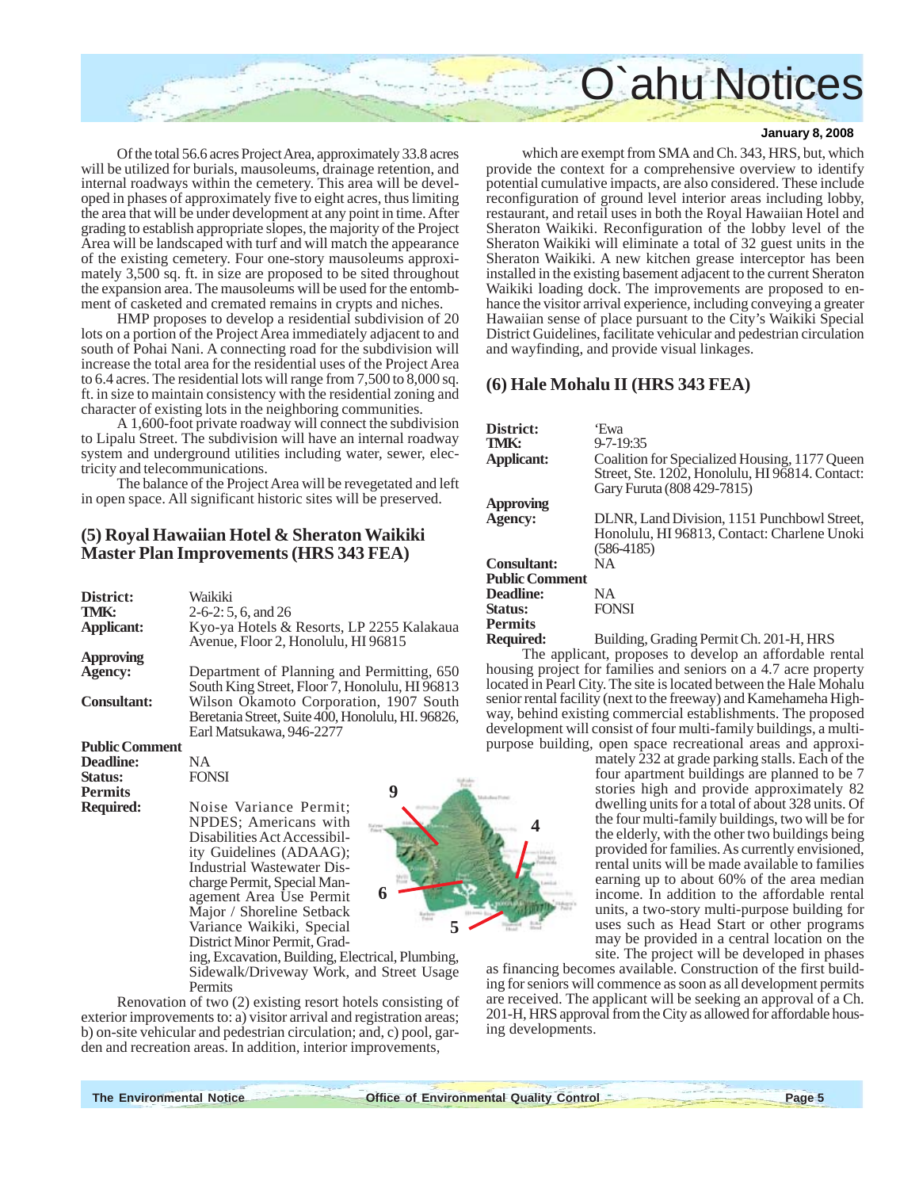

Of the total 56.6 acres Project Area, approximately 33.8 acres will be utilized for burials, mausoleums, drainage retention, and internal roadways within the cemetery. This area will be developed in phases of approximately five to eight acres, thus limiting the area that will be under development at any point in time. After grading to establish appropriate slopes, the majority of the Project Area will be landscaped with turf and will match the appearance of the existing cemetery. Four one-story mausoleums approximately 3,500 sq. ft. in size are proposed to be sited throughout the expansion area. The mausoleums will be used for the entombment of casketed and cremated remains in crypts and niches.

HMP proposes to develop a residential subdivision of 20 lots on a portion of the Project Area immediately adjacent to and south of Pohai Nani. A connecting road for the subdivision will increase the total area for the residential uses of the Project Area to 6.4 acres. The residential lots will range from 7,500 to 8,000 sq. ft. in size to maintain consistency with the residential zoning and character of existing lots in the neighboring communities.

A 1,600-foot private roadway will connect the subdivision to Lipalu Street. The subdivision will have an internal roadway system and underground utilities including water, sewer, electricity and telecommunications.

The balance of the Project Area will be revegetated and left in open space. All significant historic sites will be preserved.

## **(5) Royal Hawaiian Hotel & Sheraton Waikiki Master Plan Improvements (HRS 343 FEA)**

| District:                    | Waikiki                                                                          |
|------------------------------|----------------------------------------------------------------------------------|
| TMK:                         | $2-6-2: 5, 6, and 26$                                                            |
| Applicant:                   | Kyo-ya Hotels & Resorts, LP 2255 Kalakaua<br>Avenue, Floor 2, Honolulu, HI 96815 |
| <b>Approving</b>             |                                                                                  |
| Agency:                      | Department of Planning and Permitting, 650                                       |
|                              | South King Street, Floor 7, Honolulu, HI 96813                                   |
| <b>Consultant:</b>           | Wilson Okamoto Corporation, 1907 South                                           |
|                              | Beretania Street, Suite 400, Honolulu, HI. 96826,                                |
|                              | Earl Matsukawa, 946-2277                                                         |
| <b>Public Comment</b>        |                                                                                  |
| $\mathbf{r}$ in $\mathbf{r}$ | <b>ATA</b>                                                                       |

### **Deadline:** NA **Status:** FONSI

**Permits**

**Required:** Noise Variance Permit; NPDES; Americans with Disabilities Act Accessibility Guidelines (ADAAG); Industrial Wastewater Discharge Permit, Special Management Area Use Permit Major / Shoreline Setback Variance Waikiki, Special District Minor Permit, Grad-



ing, Excavation, Building, Electrical, Plumbing, Sidewalk/Driveway Work, and Street Usage Permits

Renovation of two (2) existing resort hotels consisting of exterior improvements to: a) visitor arrival and registration areas; b) on-site vehicular and pedestrian circulation; and, c) pool, garden and recreation areas. In addition, interior improvements,

### **January 8, 2008**

which are exempt from SMA and Ch. 343, HRS, but, which provide the context for a comprehensive overview to identify potential cumulative impacts, are also considered. These include reconfiguration of ground level interior areas including lobby, restaurant, and retail uses in both the Royal Hawaiian Hotel and Sheraton Waikiki. Reconfiguration of the lobby level of the Sheraton Waikiki will eliminate a total of 32 guest units in the Sheraton Waikiki. A new kitchen grease interceptor has been installed in the existing basement adjacent to the current Sheraton Waikiki loading dock. The improvements are proposed to enhance the visitor arrival experience, including conveying a greater Hawaiian sense of place pursuant to the City's Waikiki Special District Guidelines, facilitate vehicular and pedestrian circulation and wayfinding, and provide visual linkages.

## **(6) Hale Mohalu II (HRS 343 FEA)**

| District:<br>TMK:     | 'Ewa<br>$9 - 7 - 19:35$                                                                          |
|-----------------------|--------------------------------------------------------------------------------------------------|
| Applicant:            | Coalition for Specialized Housing, 1177 Queen<br>Street, Ste. 1202, Honolulu, HI 96814. Contact: |
|                       | Gary Furuta (808 429-7815)                                                                       |
| Approving             |                                                                                                  |
| <b>Agency:</b>        | DLNR, Land Division, 1151 Punchbowl Street,                                                      |
|                       | Honolulu, HI 96813, Contact: Charlene Unoki                                                      |
|                       | $(586-4185)$                                                                                     |
| <b>Consultant:</b>    | NA.                                                                                              |
| <b>Public Comment</b> |                                                                                                  |
| <b>Deadline:</b>      | NA.                                                                                              |
| Status:               | <b>FONSI</b>                                                                                     |
| Permits               |                                                                                                  |
| Daguirad:             | Ruilding Grading Parmit Ch 201 H HRS                                                             |

**Required:** Building, Grading Permit Ch. 201-H, HRS

The applicant, proposes to develop an affordable rental housing project for families and seniors on a 4.7 acre property located in Pearl City. The site is located between the Hale Mohalu senior rental facility (next to the freeway) and Kamehameha Highway, behind existing commercial establishments. The proposed development will consist of four multi-family buildings, a multipurpose building, open space recreational areas and approxi-

> mately 232 at grade parking stalls. Each of the four apartment buildings are planned to be 7 stories high and provide approximately 82 dwelling units for a total of about 328 units. Of the four multi-family buildings, two will be for the elderly, with the other two buildings being provided for families. As currently envisioned, rental units will be made available to families earning up to about 60% of the area median income. In addition to the affordable rental units, a two-story multi-purpose building for uses such as Head Start or other programs may be provided in a central location on the site. The project will be developed in phases

as financing becomes available. Construction of the first building for seniors will commence as soon as all development permits are received. The applicant will be seeking an approval of a Ch. 201-H, HRS approval from the City as allowed for affordable housing developments.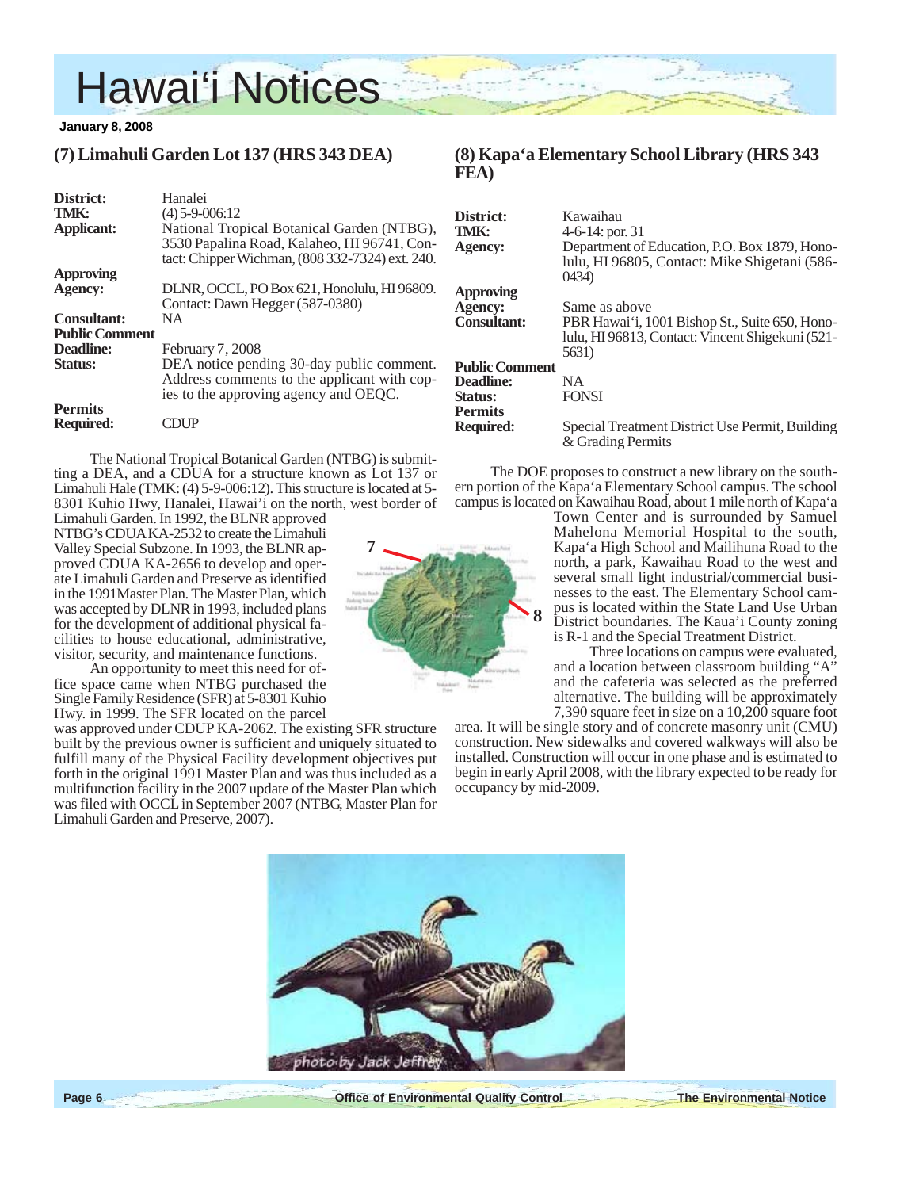

## **(7) Limahuli Garden Lot 137 (HRS 343 DEA)**

| District:             | Hanalei                                                                                                                                      |  |
|-----------------------|----------------------------------------------------------------------------------------------------------------------------------------------|--|
| TMK:                  | $(4)$ 5-9-006:12                                                                                                                             |  |
| <b>Applicant:</b>     | National Tropical Botanical Garden (NTBG),<br>3530 Papalina Road, Kalaheo, HI 96741, Con-<br>tact: Chipper Wichman, (808 332-7324) ext. 240. |  |
| <b>Approving</b>      |                                                                                                                                              |  |
| <b>Agency:</b>        | DLNR, OCCL, PO Box 621, Honolulu, HI 96809.<br>Contact: Dawn Hegger (587-0380)                                                               |  |
| <b>Consultant:</b>    | <b>NA</b>                                                                                                                                    |  |
| <b>Public Comment</b> |                                                                                                                                              |  |
| Deadline:             | February 7, 2008                                                                                                                             |  |
| Status:               | DEA notice pending 30-day public comment.<br>Address comments to the applicant with cop-<br>ies to the approving agency and OEQC.            |  |
| <b>Permits</b>        |                                                                                                                                              |  |
| Required:             |                                                                                                                                              |  |

The National Tropical Botanical Garden (NTBG) is submitting a DEA, and a CDUA for a structure known as Lot 137 or Limahuli Hale (TMK: (4) 5-9-006:12). This structure is located at 5- 8301 Kuhio Hwy, Hanalei, Hawai'i on the north, west border of

Limahuli Garden. In 1992, the BLNR approved NTBG's CDUA KA-2532 to create the Limahuli Valley Special Subzone. In 1993, the BLNR approved CDUA KA-2656 to develop and operate Limahuli Garden and Preserve as identified in the 1991Master Plan. The Master Plan, which was accepted by DLNR in 1993, included plans for the development of additional physical facilities to house educational, administrative, visitor, security, and maintenance functions.

An opportunity to meet this need for office space came when NTBG purchased the Single Family Residence (SFR) at 5-8301 Kuhio Hwy. in 1999. The SFR located on the parcel

was approved under CDUP KA-2062. The existing SFR structure built by the previous owner is sufficient and uniquely situated to fulfill many of the Physical Facility development objectives put forth in the original 1991 Master Plan and was thus included as a multifunction facility in the 2007 update of the Master Plan which was filed with OCCL in September 2007 (NTBG, Master Plan for Limahuli Garden and Preserve, 2007).



## **(8) Kapa'a Elementary School Library (HRS 343 FEA)**

| District:             | Kawaihau                                                                                                |
|-----------------------|---------------------------------------------------------------------------------------------------------|
| TMK:                  | 4-6-14: por. 31                                                                                         |
| Agency:               | Department of Education, P.O. Box 1879, Hono-<br>lulu, HI 96805, Contact: Mike Shigetani (586-<br>0434) |
| <b>Approving</b>      |                                                                                                         |
| Agency:               | Same as above                                                                                           |
| <b>Consultant:</b>    | PBR Hawai'i, 1001 Bishop St., Suite 650, Hono-                                                          |
|                       | lulu, HI 96813, Contact: Vincent Shigekuni (521-                                                        |
|                       | 5631)                                                                                                   |
| <b>Public Comment</b> |                                                                                                         |
| Deadline:             | NA.                                                                                                     |
| Status:               | <b>FONSI</b>                                                                                            |
| <b>Permits</b>        |                                                                                                         |
| <b>Required:</b>      | Special Treatment District Use Permit, Building                                                         |
|                       | & Grading Permits                                                                                       |

The DOE proposes to construct a new library on the southern portion of the Kapa'a Elementary School campus. The school campus is located on Kawaihau Road, about 1 mile north of Kapa'a

Town Center and is surrounded by Samuel Mahelona Memorial Hospital to the south, Kapa'a High School and Mailihuna Road to the north, a park, Kawaihau Road to the west and several small light industrial/commercial businesses to the east. The Elementary School campus is located within the State Land Use Urban District boundaries. The Kaua'i County zoning is R-1 and the Special Treatment District.

Three locations on campus were evaluated, and a location between classroom building "A" and the cafeteria was selected as the preferred alternative. The building will be approximately 7,390 square feet in size on a 10,200 square foot

area. It will be single story and of concrete masonry unit (CMU) construction. New sidewalks and covered walkways will also be installed. Construction will occur in one phase and is estimated to begin in early April 2008, with the library expected to be ready for occupancy by mid-2009.

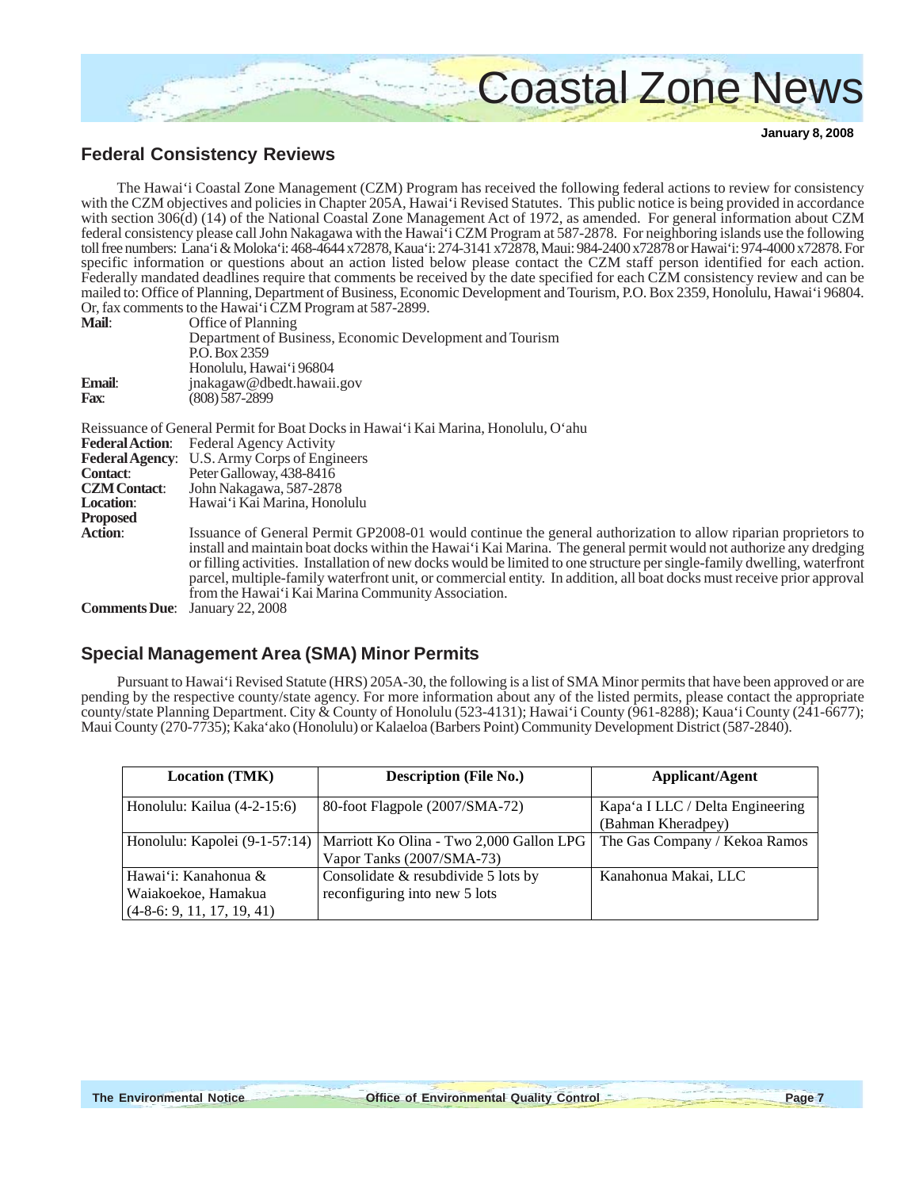

# **Federal Consistency Reviews**

The Hawai'i Coastal Zone Management (CZM) Program has received the following federal actions to review for consistency with the CZM objectives and policies in Chapter 205A, Hawai'i Revised Statutes. This public notice is being provided in accordance with section 306(d) (14) of the National Coastal Zone Management Act of 1972, as amended. For general information about CZM federal consistency please call John Nakagawa with the Hawai'i CZM Program at 587-2878. For neighboring islands use the following toll free numbers: Lana'i & Moloka'i: 468-4644 x72878, Kaua'i: 274-3141 x72878, Maui: 984-2400 x72878 or Hawai'i: 974-4000 x72878. For specific information or questions about an action listed below please contact the CZM staff person identified for each action. Federally mandated deadlines require that comments be received by the date specified for each CZM consistency review and can be mailed to: Office of Planning, Department of Business, Economic Development and Tourism, P.O. Box 2359, Honolulu, Hawai'i 96804. Or, fax comments to the Hawai'i CZM Program at 587-2899.

| Mail:                | Office of Planning                                                                                                                                                                                                                                                                                                                                                                                                                                                                                                                                |
|----------------------|---------------------------------------------------------------------------------------------------------------------------------------------------------------------------------------------------------------------------------------------------------------------------------------------------------------------------------------------------------------------------------------------------------------------------------------------------------------------------------------------------------------------------------------------------|
|                      | Department of Business, Economic Development and Tourism                                                                                                                                                                                                                                                                                                                                                                                                                                                                                          |
|                      | P.O. Box 2359                                                                                                                                                                                                                                                                                                                                                                                                                                                                                                                                     |
|                      | Honolulu, Hawai'i 96804                                                                                                                                                                                                                                                                                                                                                                                                                                                                                                                           |
| Email:               | jnakagaw@dbedt.hawaii.gov                                                                                                                                                                                                                                                                                                                                                                                                                                                                                                                         |
| <b>Fax:</b>          | (808) 587-2899                                                                                                                                                                                                                                                                                                                                                                                                                                                                                                                                    |
|                      | Reissuance of General Permit for Boat Docks in Hawai'i Kai Marina, Honolulu, O'ahu                                                                                                                                                                                                                                                                                                                                                                                                                                                                |
|                      | <b>Federal Action:</b> Federal Agency Activity                                                                                                                                                                                                                                                                                                                                                                                                                                                                                                    |
|                      | Federal Agency: U.S. Army Corps of Engineers                                                                                                                                                                                                                                                                                                                                                                                                                                                                                                      |
| <b>Contact:</b>      | Peter Galloway, 438-8416                                                                                                                                                                                                                                                                                                                                                                                                                                                                                                                          |
| <b>CZM</b> Contact:  | John Nakagawa, 587-2878                                                                                                                                                                                                                                                                                                                                                                                                                                                                                                                           |
| <b>Location:</b>     | Hawai'i Kai Marina, Honolulu                                                                                                                                                                                                                                                                                                                                                                                                                                                                                                                      |
| <b>Proposed</b>      |                                                                                                                                                                                                                                                                                                                                                                                                                                                                                                                                                   |
| <b>Action:</b>       | Issuance of General Permit GP2008-01 would continue the general authorization to allow riparian proprietors to<br>install and maintain boat docks within the Hawai'i Kai Marina. The general permit would not authorize any dredging<br>or filling activities. Installation of new docks would be limited to one structure per single-family dwelling, waterfront<br>parcel, multiple-family waterfront unit, or commercial entity. In addition, all boat docks must receive prior approval<br>from the Hawai'i Kai Marina Community Association. |
| <b>Comments Due:</b> | January 22, 2008                                                                                                                                                                                                                                                                                                                                                                                                                                                                                                                                  |

## **Special Management Area (SMA) Minor Permits**

Pursuant to Hawai'i Revised Statute (HRS) 205A-30, the following is a list of SMA Minor permits that have been approved or are pending by the respective county/state agency. For more information about any of the listed permits, please contact the appropriate county/state Planning Department. City & County of Honolulu (523-4131); Hawai'i County (961-8288); Kaua'i County (241-6677); Maui County (270-7735); Kaka'ako (Honolulu) or Kalaeloa (Barbers Point) Community Development District (587-2840).

| <b>Location (TMK)</b>        | <b>Description (File No.)</b>                                            | Applicant/Agent                  |
|------------------------------|--------------------------------------------------------------------------|----------------------------------|
| Honolulu: Kailua (4-2-15:6)  | 80-foot Flagpole (2007/SMA-72)                                           | Kapa'a I LLC / Delta Engineering |
|                              |                                                                          | (Bahman Kheradpey)               |
|                              | Honolulu: Kapolei (9-1-57:14)   Marriott Ko Olina - Two 2,000 Gallon LPG | The Gas Company / Kekoa Ramos    |
|                              | Vapor Tanks (2007/SMA-73)                                                |                                  |
| Hawai'i: Kanahonua &         | Consolidate & resubdivide 5 lots by                                      | Kanahonua Makai, LLC             |
| Waiakoekoe, Hamakua          | reconfiguring into new 5 lots                                            |                                  |
| $(4-8-6: 9, 11, 17, 19, 41)$ |                                                                          |                                  |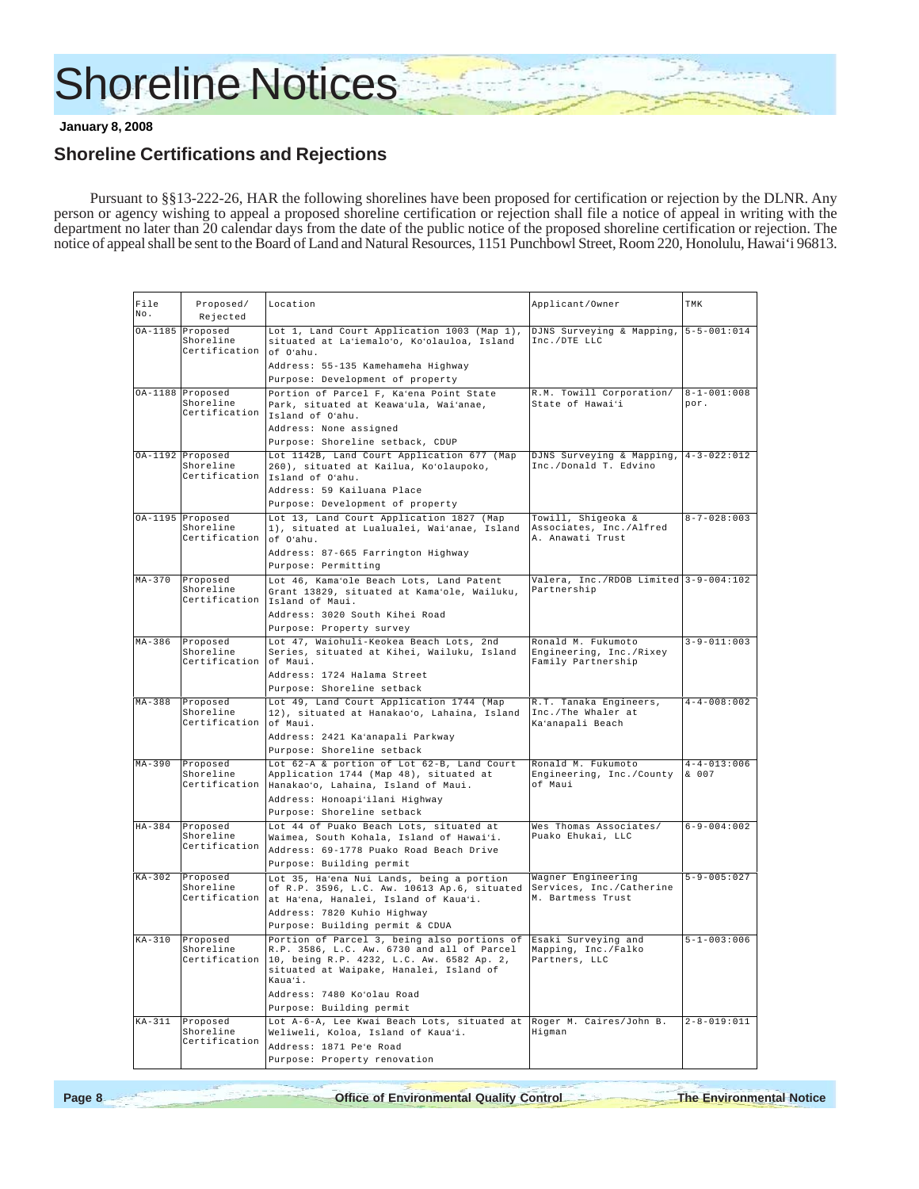# Shoreline Notices

 **January 8, 2008**

# **Shoreline Certifications and Rejections**

Pursuant to §§13-222-26, HAR the following shorelines have been proposed for certification or rejection by the DLNR. Any person or agency wishing to appeal a proposed shoreline certification or rejection shall file a notice of appeal in writing with the department no later than 20 calendar days from the date of the public notice of the proposed shoreline certification or rejection. The notice of appeal shall be sent to the Board of Land and Natural Resources, 1151 Punchbowl Street, Room 220, Honolulu, Hawai'i 96813.

| File<br>No. | Proposed/<br>Rejected                          | Location                                                                                                                                                    | Applicant/Owner                                                  | TMK                 |
|-------------|------------------------------------------------|-------------------------------------------------------------------------------------------------------------------------------------------------------------|------------------------------------------------------------------|---------------------|
|             |                                                |                                                                                                                                                             |                                                                  |                     |
|             | OA-1185 Proposed<br>Shoreline<br>Certification | Lot 1, Land Court Application 1003 (Map 1),<br>situated at La'iemalo'o, Ko'olauloa, Island<br>of O'ahu.                                                     | DJNS Surveying & Mapping, 5-5-001:014<br>Inc./DTE LLC            |                     |
|             |                                                | Address: 55-135 Kamehameha Highway                                                                                                                          |                                                                  |                     |
|             |                                                | Purpose: Development of property                                                                                                                            |                                                                  |                     |
|             | OA-1188 Proposed                               | Portion of Parcel F, Ka'ena Point State                                                                                                                     | R.M. Towill Corporation/                                         | $8 - 1 - 001 : 008$ |
|             | Shoreline<br>Certification                     | Park, situated at Keawa'ula, Wai'anae,<br>Island of O'ahu.                                                                                                  | State of Hawai'i                                                 | por.                |
|             |                                                | Address: None assigned                                                                                                                                      |                                                                  |                     |
|             |                                                | Purpose: Shoreline setback, CDUP                                                                                                                            |                                                                  |                     |
|             | OA-1192 Proposed                               | Lot 1142B, Land Court Application 677 (Map                                                                                                                  | DJNS Surveying & Mapping, $4-3-022:012$                          |                     |
|             | Shoreline                                      | 260), situated at Kailua, Ko'olaupoko,                                                                                                                      | Inc./Donald T. Edvino                                            |                     |
|             | Certification                                  | Island of O'ahu.                                                                                                                                            |                                                                  |                     |
|             |                                                | Address: 59 Kailuana Place                                                                                                                                  |                                                                  |                     |
|             |                                                | Purpose: Development of property                                                                                                                            |                                                                  |                     |
|             | OA-1195 Proposed                               | Lot 13, Land Court Application 1827 (Map                                                                                                                    | Towill, Shigeoka &                                               | $8 - 7 - 028 : 003$ |
|             | Shoreline                                      | 1), situated at Lualualei, Wai'anae, Island                                                                                                                 | Associates, Inc./Alfred                                          |                     |
|             | Certification                                  | of O'ahu.                                                                                                                                                   | A. Anawati Trust                                                 |                     |
|             |                                                | Address: 87-665 Farrington Highway                                                                                                                          |                                                                  |                     |
|             |                                                | Purpose: Permitting                                                                                                                                         |                                                                  |                     |
| $MA-370$    | Proposed                                       | Lot 46, Kama'ole Beach Lots, Land Patent                                                                                                                    | Valera, Inc./RDOB Limited 3-9-004:102                            |                     |
|             | Shoreline                                      | Grant 13829, situated at Kama'ole, Wailuku,                                                                                                                 | Partnership                                                      |                     |
|             |                                                | Certification Island of Maui.                                                                                                                               |                                                                  |                     |
|             |                                                | Address: 3020 South Kihei Road                                                                                                                              |                                                                  |                     |
|             |                                                | Purpose: Property survey                                                                                                                                    |                                                                  |                     |
| $MA-386$    | Proposed                                       | Lot 47, Waiohuli-Keokea Beach Lots, 2nd                                                                                                                     | Ronald M. Fukumoto                                               | $3 - 9 - 011:003$   |
|             | Shoreline<br>Certification                     | Series, situated at Kihei, Wailuku, Island<br>of Maui.                                                                                                      | Engineering, Inc./Rixey<br>Family Partnership                    |                     |
|             |                                                | Address: 1724 Halama Street                                                                                                                                 |                                                                  |                     |
|             |                                                | Purpose: Shoreline setback                                                                                                                                  |                                                                  |                     |
| $MA-388$    | Proposed<br>Shoreline<br>Certification         | Lot 49, Land Court Application 1744 (Map<br>12), situated at Hanakao'o, Lahaina, Island<br>of Maui.                                                         | R.T. Tanaka Engineers,<br>Inc./The Whaler at<br>Ka'anapali Beach | $4 - 4 - 008 : 002$ |
|             |                                                | Address: 2421 Ka'anapali Parkway                                                                                                                            |                                                                  |                     |
|             |                                                | Purpose: Shoreline setback                                                                                                                                  |                                                                  |                     |
| $MA-390$    | Proposed                                       | Lot 62-A & portion of Lot 62-B, Land Court                                                                                                                  | Ronald M. Fukumoto                                               | $4 - 4 - 013:006$   |
|             | Shoreline                                      | Application 1744 (Map 48), situated at                                                                                                                      | Engineering, Inc./County                                         | & 007               |
|             | Certification                                  | Hanakao'o, Lahaina, Island of Maui.                                                                                                                         | of Maui                                                          |                     |
|             |                                                | Address: Honoapi'ilani Highway                                                                                                                              |                                                                  |                     |
|             |                                                | Purpose: Shoreline setback                                                                                                                                  |                                                                  |                     |
| $HA-384$    | Proposed                                       | Lot 44 of Puako Beach Lots, situated at                                                                                                                     | Wes Thomas Associates/                                           | $6 - 9 - 004:002$   |
|             | Shoreline                                      | Waimea, South Kohala, Island of Hawai'i.                                                                                                                    | Puako Ehukai, LLC                                                |                     |
|             | Certification                                  | Address: 69-1778 Puako Road Beach Drive                                                                                                                     |                                                                  |                     |
|             |                                                | Purpose: Building permit                                                                                                                                    |                                                                  |                     |
| $KA-302$    | Proposed                                       | Lot 35, Ha'ena Nui Lands, being a portion                                                                                                                   | Wagner Engineering                                               | $5 - 9 - 005 : 027$ |
|             | Shoreline                                      | of R.P. 3596, L.C. Aw. 10613 Ap.6, situated                                                                                                                 | Services, Inc./Catherine                                         |                     |
|             |                                                | Certification at Ha'ena, Hanalei, Island of Kaua'i.                                                                                                         | M. Bartmess Trust                                                |                     |
|             |                                                | Address: 7820 Kuhio Highway                                                                                                                                 |                                                                  |                     |
|             |                                                | Purpose: Building permit & CDUA                                                                                                                             |                                                                  |                     |
| $KA-310$    | Proposed                                       | Portion of Parcel 3, being also portions of                                                                                                                 | Esaki Surveying and                                              | $5 - 1 - 003 : 006$ |
|             | Shoreline                                      | R.P. 3586, L.C. Aw. 6730 and all of Parcel<br>Certification 10, being R.P. 4232, L.C. Aw. 6582 Ap. 2,<br>situated at Waipake, Hanalei, Island of<br>Kaua'i. | Mapping, Inc./Falko<br>Partners, LLC                             |                     |
|             |                                                | Address: 7480 Ko'olau Road                                                                                                                                  |                                                                  |                     |
|             |                                                | Purpose: Building permit                                                                                                                                    |                                                                  |                     |
|             |                                                |                                                                                                                                                             |                                                                  |                     |
| $KA-311$    | Proposed<br>Shoreline<br>Certification         | Lot A-6-A, Lee Kwai Beach Lots, situated at Roger M. Caires/John B.<br>Weliweli, Koloa, Island of Kaua'i.                                                   | Higman                                                           | $2 - 8 - 019:011$   |
|             |                                                | Address: 1871 Pe'e Road                                                                                                                                     |                                                                  |                     |
|             |                                                | Purpose: Property renovation                                                                                                                                |                                                                  |                     |

**Page 8 Office of Environmental Quality Control The Environmental Notice**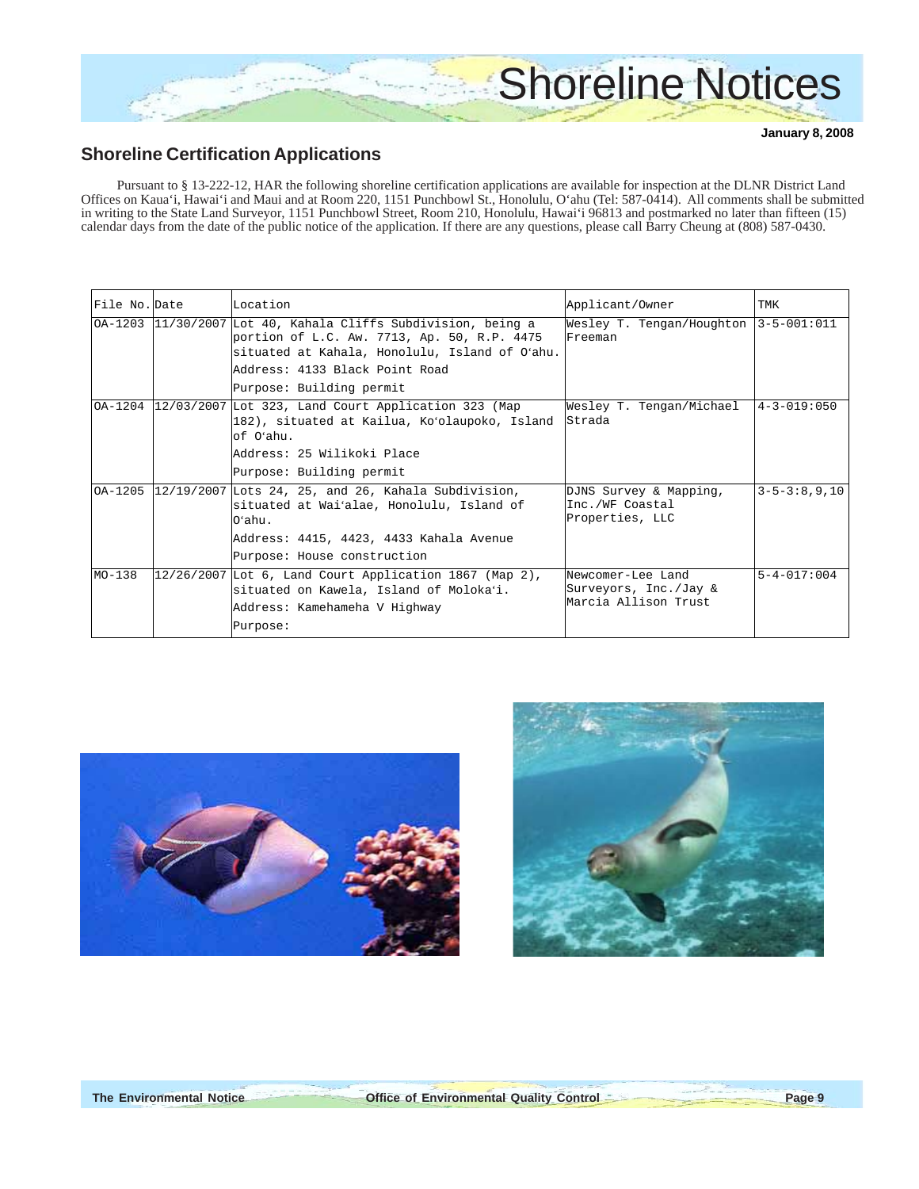

# **Shoreline Certification Applications**

Pursuant to § 13-222-12, HAR the following shoreline certification applications are available for inspection at the DLNR District Land Offices on Kaua'i, Hawai'i and Maui and at Room 220, 1151 Punchbowl St., Honolulu, O'ahu (Tel: 587-0414). All comments shall be submitted in writing to the State Land Surveyor, 1151 Punchbowl Street, Room 210, Honolulu, Hawai'i 96813 and postmarked no later than fifteen (15) calendar days from the date of the public notice of the application. If there are any questions, please call Barry Cheung at (808) 587-0430.

| File No. Date | Location                                                                                                                                                                                         | Applicant/Owner                                                    | TMK                |
|---------------|--------------------------------------------------------------------------------------------------------------------------------------------------------------------------------------------------|--------------------------------------------------------------------|--------------------|
|               | 0A-1203 11/30/2007 Lot 40, Kahala Cliffs Subdivision, being a<br>portion of L.C. Aw. 7713, Ap. 50, R.P. 4475<br>situated at Kahala, Honolulu, Island of O'ahu.<br>Address: 4133 Black Point Road | Wesley T. Tengan/Houghton<br>Freeman                               | $3 - 5 - 001:011$  |
|               | Purpose: Building permit                                                                                                                                                                         |                                                                    |                    |
| OA-1204       | 12/03/2007 Lot 323, Land Court Application 323 (Map<br>182), situated at Kailua, Koʻolaupoko, Island<br>of O'ahu.<br>Address: 25 Wilikoki Place                                                  | Wesley T. Tengan/Michael<br>Strada                                 | $4 - 3 - 019:050$  |
|               | Purpose: Building permit                                                                                                                                                                         |                                                                    |                    |
|               | $OA-1205$ 12/19/2007 Lots 24, 25, and 26, Kahala Subdivision,<br>situated at Wai'alae, Honolulu, Island of<br>$O4$ ahu.                                                                          | DJNS Survey & Mapping,<br>Inc./WF Coastal<br>Properties, LLC       | $3 - 5 - 3:8,9,10$ |
|               | Address: 4415, 4423, 4433 Kahala Avenue                                                                                                                                                          |                                                                    |                    |
|               | Purpose: House construction                                                                                                                                                                      |                                                                    |                    |
| $MO-138$      | $12/26/2007$ Lot 6, Land Court Application 1867 (Map 2),<br>situated on Kawela, Island of Moloka'i.<br>Address: Kamehameha V Highway<br>Purpose:                                                 | Newcomer-Lee Land<br>Surveyors, Inc./Jay &<br>Marcia Allison Trust | $5 - 4 - 017:004$  |